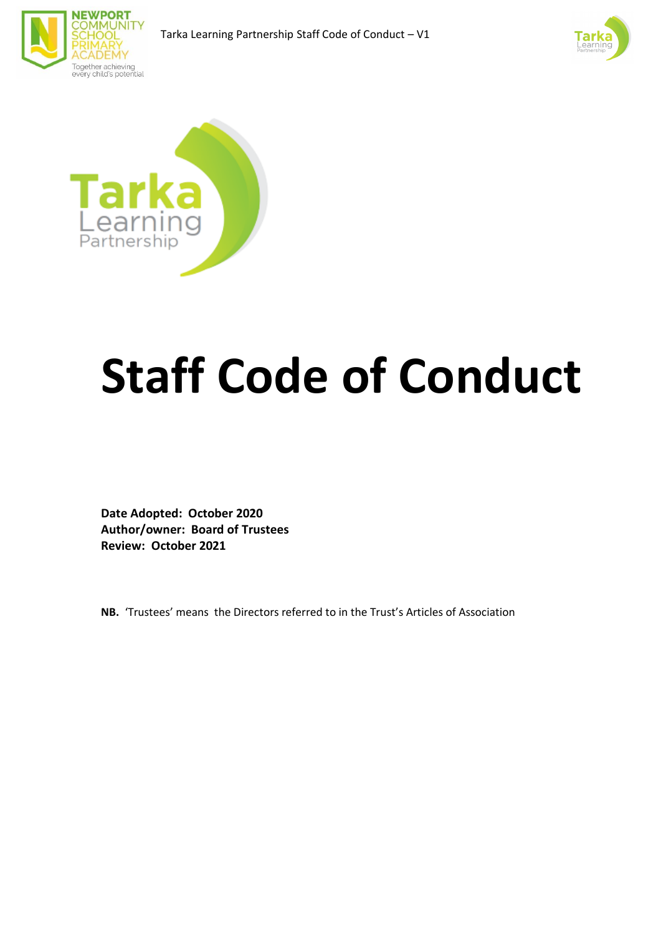





# **Staff Code of Conduct**

**Date Adopted: October 2020 Author/owner: Board of Trustees Review: October 2021**

**NB.** 'Trustees' means the Directors referred to in the Trust's Articles of Association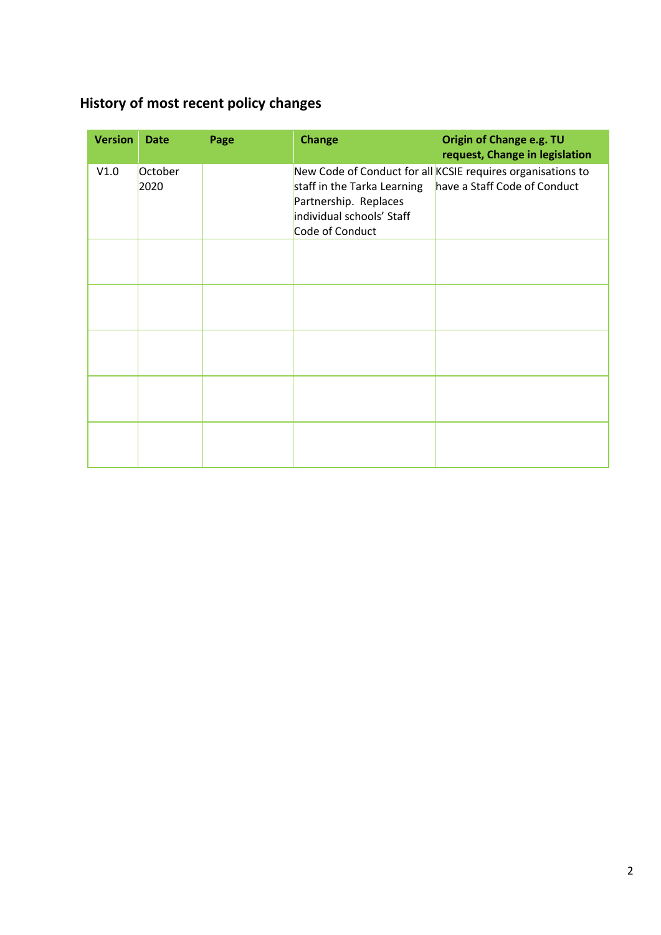# <span id="page-1-0"></span>**History of most recent policy changes**

| <b>Version</b> | <b>Date</b>     | Page | <b>Change</b>                                                                                        | Origin of Change e.g. TU<br>request, Change in legislation                                  |
|----------------|-----------------|------|------------------------------------------------------------------------------------------------------|---------------------------------------------------------------------------------------------|
| V1.0           | October<br>2020 |      | staff in the Tarka Learning<br>Partnership. Replaces<br>individual schools' Staff<br>Code of Conduct | New Code of Conduct for all KCSIE requires organisations to<br>have a Staff Code of Conduct |
|                |                 |      |                                                                                                      |                                                                                             |
|                |                 |      |                                                                                                      |                                                                                             |
|                |                 |      |                                                                                                      |                                                                                             |
|                |                 |      |                                                                                                      |                                                                                             |
|                |                 |      |                                                                                                      |                                                                                             |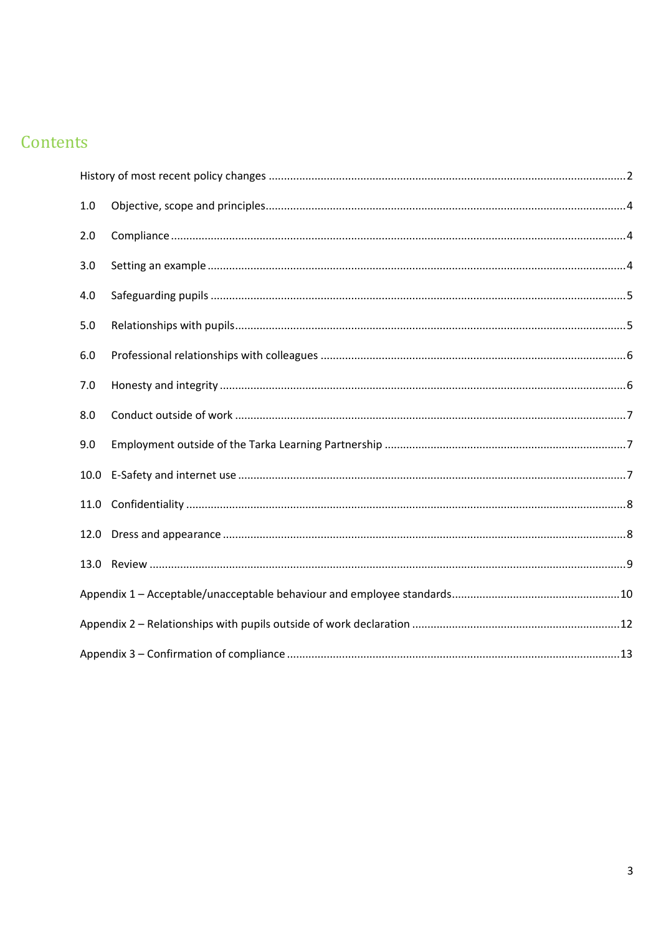# Contents

| 1.0  |  |  |
|------|--|--|
| 2.0  |  |  |
| 3.0  |  |  |
| 4.0  |  |  |
| 5.0  |  |  |
| 6.0  |  |  |
| 7.0  |  |  |
| 8.0  |  |  |
| 9.0  |  |  |
| 10.0 |  |  |
| 11.0 |  |  |
| 12.0 |  |  |
| 13.0 |  |  |
|      |  |  |
|      |  |  |
|      |  |  |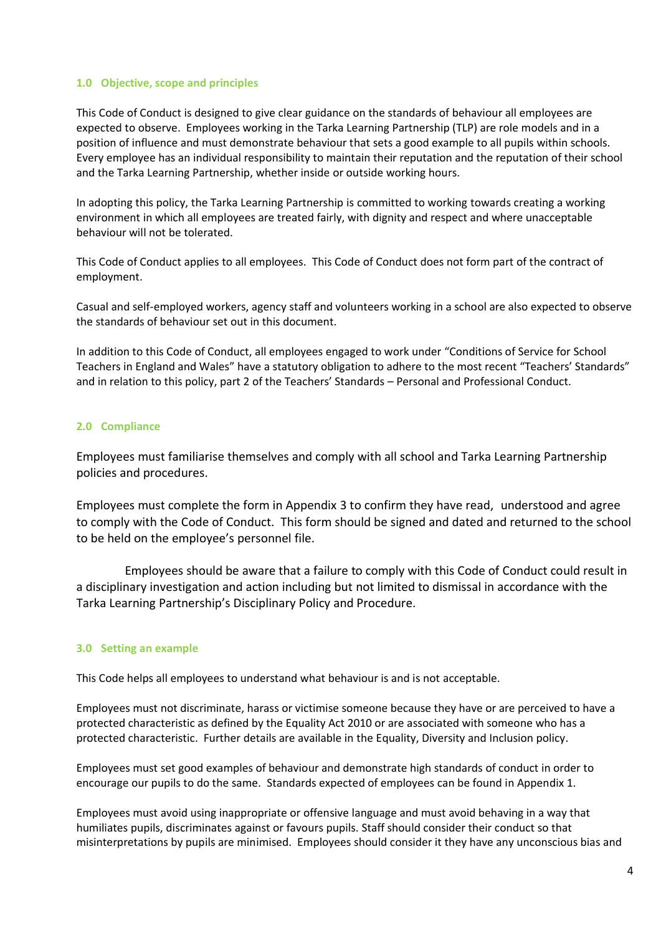#### <span id="page-3-0"></span>**1.0 Objective, scope and principles**

This Code of Conduct is designed to give clear guidance on the standards of behaviour all employees are expected to observe. Employees working in the Tarka Learning Partnership (TLP) are role models and in a position of influence and must demonstrate behaviour that sets a good example to all pupils within schools. Every employee has an individual responsibility to maintain their reputation and the reputation of their school and the Tarka Learning Partnership, whether inside or outside working hours.

In adopting this policy, the Tarka Learning Partnership is committed to working towards creating a working environment in which all employees are treated fairly, with dignity and respect and where unacceptable behaviour will not be tolerated.

This Code of Conduct applies to all employees. This Code of Conduct does not form part of the contract of employment.

Casual and self-employed workers, agency staff and volunteers working in a school are also expected to observe the standards of behaviour set out in this document.

In addition to this Code of Conduct, all employees engaged to work under "Conditions of Service for School Teachers in England and Wales" have a statutory obligation to adhere to the most recent "Teachers' Standards" and in relation to this policy, part 2 of the Teachers' Standards – Personal and Professional Conduct.

#### <span id="page-3-1"></span>**2.0 Compliance**

Employees must familiarise themselves and comply with all school and Tarka Learning Partnership policies and procedures.

Employees must complete the form in Appendix 3 to confirm they have read, understood and agree to comply with the Code of Conduct. This form should be signed and dated and returned to the school to be held on the employee's personnel file.

 Employees should be aware that a failure to comply with this Code of Conduct could result in a disciplinary investigation and action including but not limited to dismissal in accordance with the Tarka Learning Partnership's Disciplinary Policy and Procedure.

#### <span id="page-3-2"></span>**3.0 Setting an example**

This Code helps all employees to understand what behaviour is and is not acceptable.

Employees must not discriminate, harass or victimise someone because they have or are perceived to have a protected characteristic as defined by the Equality Act 2010 or are associated with someone who has a protected characteristic. Further details are available in the Equality, Diversity and Inclusion policy.

Employees must set good examples of behaviour and demonstrate high standards of conduct in order to encourage our pupils to do the same. Standards expected of employees can be found in Appendix 1.

Employees must avoid using inappropriate or offensive language and must avoid behaving in a way that humiliates pupils, discriminates against or favours pupils. Staff should consider their conduct so that misinterpretations by pupils are minimised. Employees should consider it they have any unconscious bias and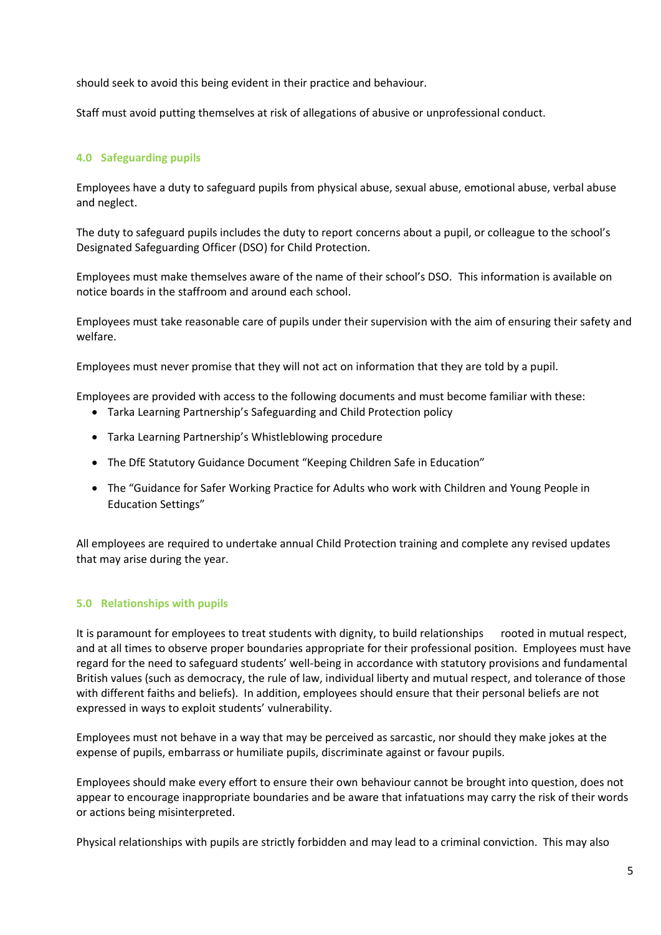should seek to avoid this being evident in their practice and behaviour.

Staff must avoid putting themselves at risk of allegations of abusive or unprofessional conduct.

# <span id="page-4-0"></span>**4.0 Safeguarding pupils**

Employees have a duty to safeguard pupils from physical abuse, sexual abuse, emotional abuse, verbal abuse and neglect.

The duty to safeguard pupils includes the duty to report concerns about a pupil, or colleague to the school's Designated Safeguarding Officer (DSO) for Child Protection.

Employees must make themselves aware of the name of their school's DSO. This information is available on notice boards in the staffroom and around each school.

Employees must take reasonable care of pupils under their supervision with the aim of ensuring their safety and welfare.

Employees must never promise that they will not act on information that they are told by a pupil.

Employees are provided with access to the following documents and must become familiar with these:

- Tarka Learning Partnership's Safeguarding and Child Protection policy
- Tarka Learning Partnership's Whistleblowing procedure
- The DfE Statutory Guidance Document "Keeping Children Safe in Education"
- The "Guidance for Safer Working Practice for Adults who work with Children and Young People in Education Settings"

All employees are required to undertake annual Child Protection training and complete any revised updates that may arise during the year.

# <span id="page-4-1"></span>**5.0 Relationships with pupils**

It is paramount for employees to treat students with dignity, to build relationships rooted in mutual respect, and at all times to observe proper boundaries appropriate for their professional position. Employees must have regard for the need to safeguard students' well-being in accordance with statutory provisions and fundamental British values (such as democracy, the rule of law, individual liberty and mutual respect, and tolerance of those with different faiths and beliefs). In addition, employees should ensure that their personal beliefs are not expressed in ways to exploit students' vulnerability.

Employees must not behave in a way that may be perceived as sarcastic, nor should they make jokes at the expense of pupils, embarrass or humiliate pupils, discriminate against or favour pupils.

Employees should make every effort to ensure their own behaviour cannot be brought into question, does not appear to encourage inappropriate boundaries and be aware that infatuations may carry the risk of their words or actions being misinterpreted.

Physical relationships with pupils are strictly forbidden and may lead to a criminal conviction. This may also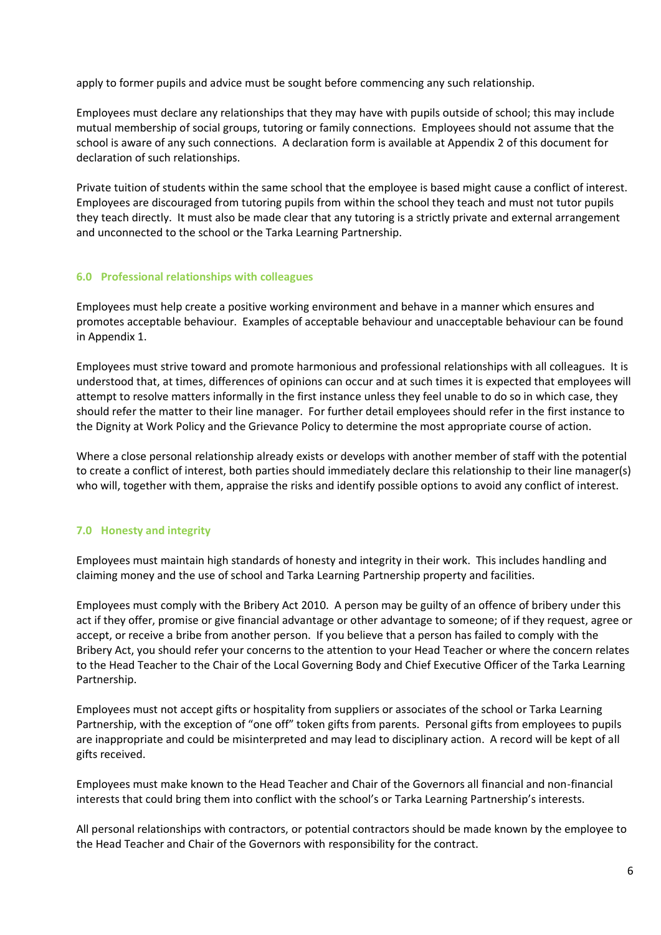apply to former pupils and advice must be sought before commencing any such relationship.

Employees must declare any relationships that they may have with pupils outside of school; this may include mutual membership of social groups, tutoring or family connections. Employees should not assume that the school is aware of any such connections. A declaration form is available at Appendix 2 of this document for declaration of such relationships.

Private tuition of students within the same school that the employee is based might cause a conflict of interest. Employees are discouraged from tutoring pupils from within the school they teach and must not tutor pupils they teach directly. It must also be made clear that any tutoring is a strictly private and external arrangement and unconnected to the school or the Tarka Learning Partnership.

# <span id="page-5-0"></span>**6.0 Professional relationships with colleagues**

Employees must help create a positive working environment and behave in a manner which ensures and promotes acceptable behaviour. Examples of acceptable behaviour and unacceptable behaviour can be found in Appendix 1.

Employees must strive toward and promote harmonious and professional relationships with all colleagues. It is understood that, at times, differences of opinions can occur and at such times it is expected that employees will attempt to resolve matters informally in the first instance unless they feel unable to do so in which case, they should refer the matter to their line manager. For further detail employees should refer in the first instance to the Dignity at Work Policy and the Grievance Policy to determine the most appropriate course of action.

Where a close personal relationship already exists or develops with another member of staff with the potential to create a conflict of interest, both parties should immediately declare this relationship to their line manager(s) who will, together with them, appraise the risks and identify possible options to avoid any conflict of interest.

# <span id="page-5-1"></span>**7.0 Honesty and integrity**

Employees must maintain high standards of honesty and integrity in their work. This includes handling and claiming money and the use of school and Tarka Learning Partnership property and facilities.

Employees must comply with the Bribery Act 2010. A person may be guilty of an offence of bribery under this act if they offer, promise or give financial advantage or other advantage to someone; of if they request, agree or accept, or receive a bribe from another person. If you believe that a person has failed to comply with the Bribery Act, you should refer your concerns to the attention to your Head Teacher or where the concern relates to the Head Teacher to the Chair of the Local Governing Body and Chief Executive Officer of the Tarka Learning Partnership.

Employees must not accept gifts or hospitality from suppliers or associates of the school or Tarka Learning Partnership, with the exception of "one off" token gifts from parents. Personal gifts from employees to pupils are inappropriate and could be misinterpreted and may lead to disciplinary action. A record will be kept of all gifts received.

Employees must make known to the Head Teacher and Chair of the Governors all financial and non-financial interests that could bring them into conflict with the school's or Tarka Learning Partnership's interests.

All personal relationships with contractors, or potential contractors should be made known by the employee to the Head Teacher and Chair of the Governors with responsibility for the contract.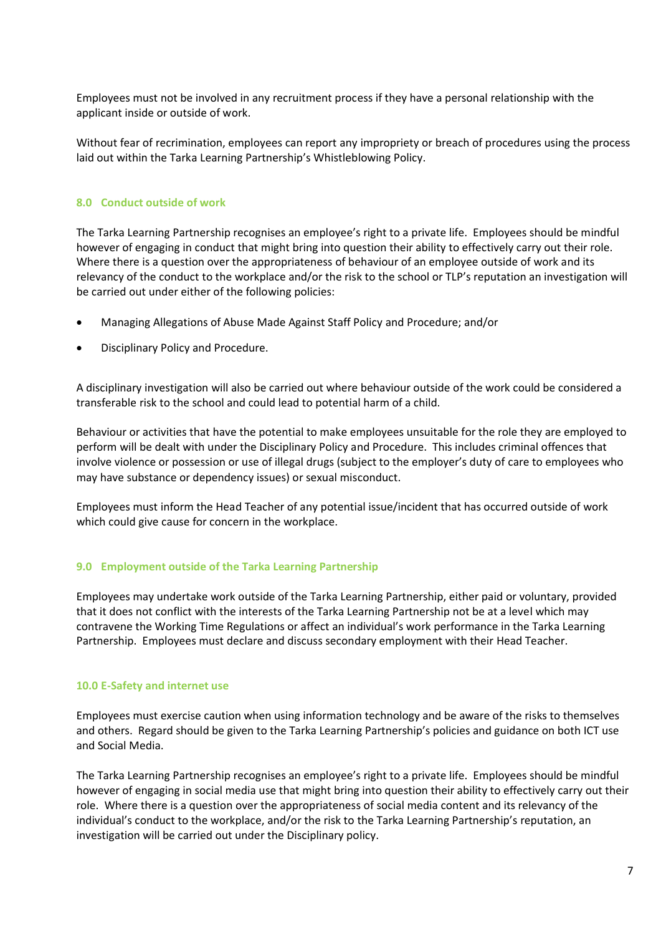Employees must not be involved in any recruitment process if they have a personal relationship with the applicant inside or outside of work.

Without fear of recrimination, employees can report any impropriety or breach of procedures using the process laid out within the Tarka Learning Partnership's Whistleblowing Policy.

#### <span id="page-6-0"></span>**8.0 Conduct outside of work**

The Tarka Learning Partnership recognises an employee's right to a private life. Employees should be mindful however of engaging in conduct that might bring into question their ability to effectively carry out their role. Where there is a question over the appropriateness of behaviour of an employee outside of work and its relevancy of the conduct to the workplace and/or the risk to the school or TLP's reputation an investigation will be carried out under either of the following policies:

- Managing Allegations of Abuse Made Against Staff Policy and Procedure; and/or
- Disciplinary Policy and Procedure.

A disciplinary investigation will also be carried out where behaviour outside of the work could be considered a transferable risk to the school and could lead to potential harm of a child.

Behaviour or activities that have the potential to make employees unsuitable for the role they are employed to perform will be dealt with under the Disciplinary Policy and Procedure. This includes criminal offences that involve violence or possession or use of illegal drugs (subject to the employer's duty of care to employees who may have substance or dependency issues) or sexual misconduct.

Employees must inform the Head Teacher of any potential issue/incident that has occurred outside of work which could give cause for concern in the workplace.

#### <span id="page-6-1"></span>**9.0 Employment outside of the Tarka Learning Partnership**

Employees may undertake work outside of the Tarka Learning Partnership, either paid or voluntary, provided that it does not conflict with the interests of the Tarka Learning Partnership not be at a level which may contravene the Working Time Regulations or affect an individual's work performance in the Tarka Learning Partnership. Employees must declare and discuss secondary employment with their Head Teacher.

#### <span id="page-6-2"></span>**10.0 E-Safety and internet use**

Employees must exercise caution when using information technology and be aware of the risks to themselves and others. Regard should be given to the Tarka Learning Partnership's policies and guidance on both ICT use and Social Media.

The Tarka Learning Partnership recognises an employee's right to a private life. Employees should be mindful however of engaging in social media use that might bring into question their ability to effectively carry out their role. Where there is a question over the appropriateness of social media content and its relevancy of the individual's conduct to the workplace, and/or the risk to the Tarka Learning Partnership's reputation, an investigation will be carried out under the Disciplinary policy.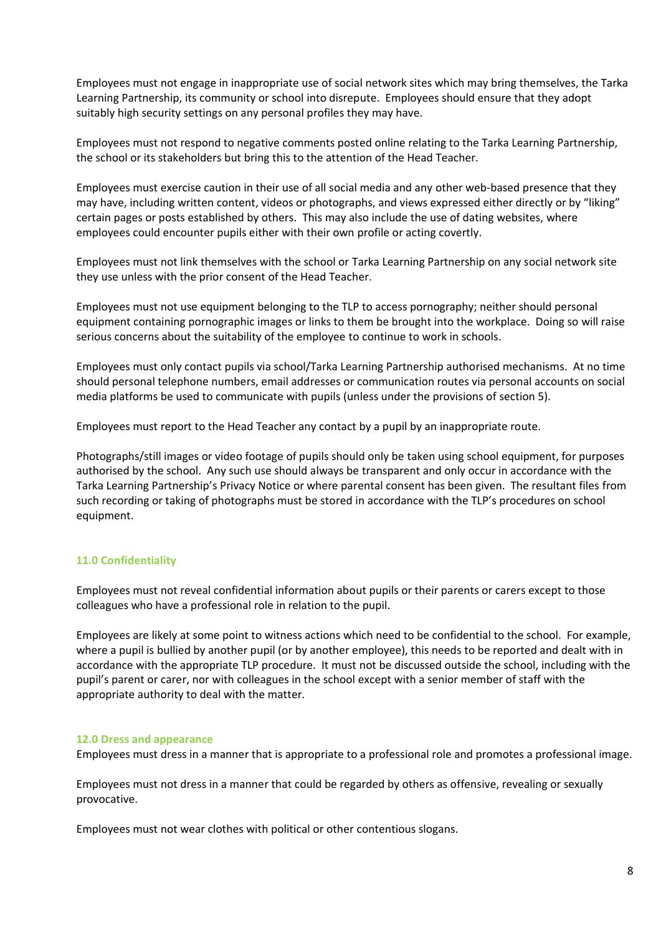Employees must not engage in inappropriate use of social network sites which may bring themselves, the Tarka Learning Partnership, its community or school into disrepute. Employees should ensure that they adopt suitably high security settings on any personal profiles they may have.

Employees must not respond to negative comments posted online relating to the Tarka Learning Partnership, the school or its stakeholders but bring this to the attention of the Head Teacher.

Employees must exercise caution in their use of all social media and any other web-based presence that they may have, including written content, videos or photographs, and views expressed either directly or by "liking" certain pages or posts established by others. This may also include the use of dating websites, where employees could encounter pupils either with their own profile or acting covertly.

Employees must not link themselves with the school or Tarka Learning Partnership on any social network site they use unless with the prior consent of the Head Teacher.

Employees must not use equipment belonging to the TLP to access pornography; neither should personal equipment containing pornographic images or links to them be brought into the workplace. Doing so will raise serious concerns about the suitability of the employee to continue to work in schools.

Employees must only contact pupils via school/Tarka Learning Partnership authorised mechanisms. At no time should personal telephone numbers, email addresses or communication routes via personal accounts on social media platforms be used to communicate with pupils (unless under the provisions of section 5).

Employees must report to the Head Teacher any contact by a pupil by an inappropriate route.

Photographs/still images or video footage of pupils should only be taken using school equipment, for purposes authorised by the school. Any such use should always be transparent and only occur in accordance with the Tarka Learning Partnership's Privacy Notice or where parental consent has been given. The resultant files from such recording or taking of photographs must be stored in accordance with the TLP's procedures on school equipment.

# <span id="page-7-0"></span>**11.0 Confidentiality**

Employees must not reveal confidential information about pupils or their parents or carers except to those colleagues who have a professional role in relation to the pupil.

Employees are likely at some point to witness actions which need to be confidential to the school. For example, where a pupil is bullied by another pupil (or by another employee), this needs to be reported and dealt with in accordance with the appropriate TLP procedure. It must not be discussed outside the school, including with the pupil's parent or carer, nor with colleagues in the school except with a senior member of staff with the appropriate authority to deal with the matter.

#### <span id="page-7-1"></span>**12.0 Dress and appearance**

Employees must dress in a manner that is appropriate to a professional role and promotes a professional image.

Employees must not dress in a manner that could be regarded by others as offensive, revealing or sexually provocative.

Employees must not wear clothes with political or other contentious slogans.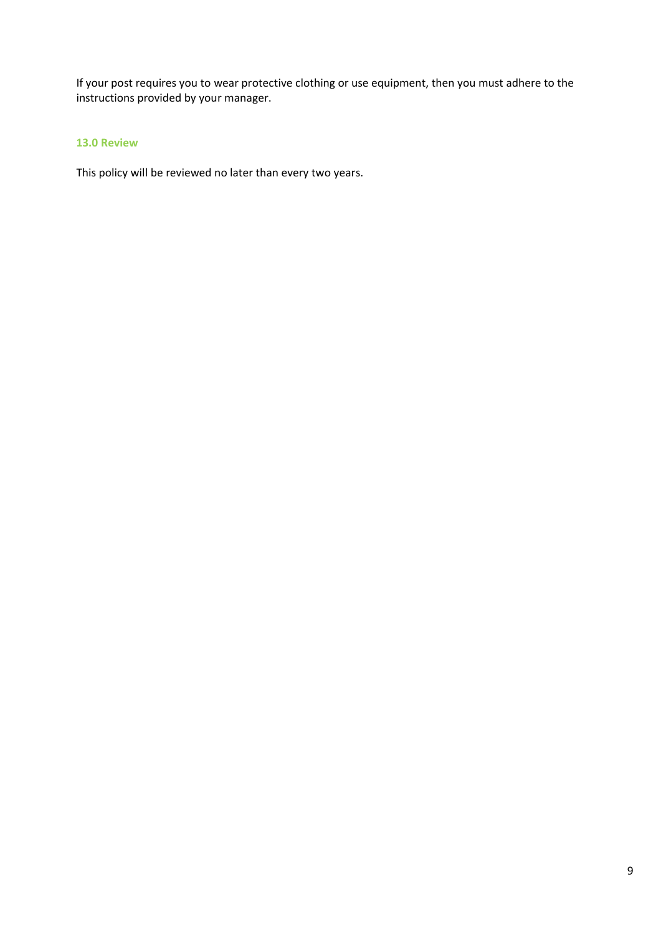If your post requires you to wear protective clothing or use equipment, then you must adhere to the instructions provided by your manager.

# <span id="page-8-0"></span>**13.0 Review**

This policy will be reviewed no later than every two years.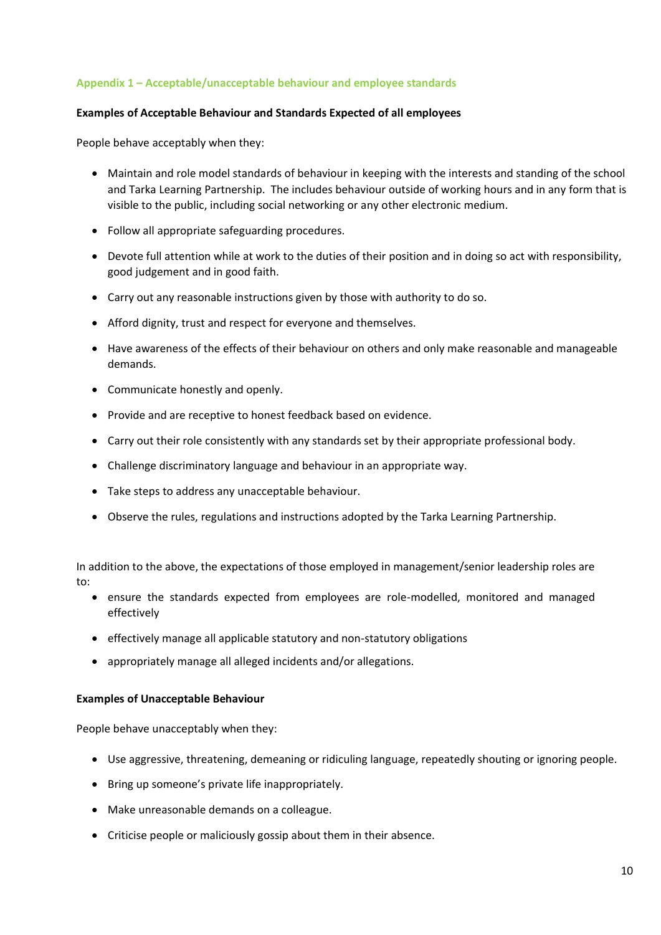#### <span id="page-9-0"></span>**Appendix 1 – Acceptable/unacceptable behaviour and employee standards**

#### **Examples of Acceptable Behaviour and Standards Expected of all employees**

People behave acceptably when they:

- Maintain and role model standards of behaviour in keeping with the interests and standing of the school and Tarka Learning Partnership. The includes behaviour outside of working hours and in any form that is visible to the public, including social networking or any other electronic medium.
- Follow all appropriate safeguarding procedures.
- Devote full attention while at work to the duties of their position and in doing so act with responsibility, good judgement and in good faith.
- Carry out any reasonable instructions given by those with authority to do so.
- Afford dignity, trust and respect for everyone and themselves.
- Have awareness of the effects of their behaviour on others and only make reasonable and manageable demands.
- Communicate honestly and openly.
- Provide and are receptive to honest feedback based on evidence.
- Carry out their role consistently with any standards set by their appropriate professional body.
- Challenge discriminatory language and behaviour in an appropriate way.
- Take steps to address any unacceptable behaviour.
- Observe the rules, regulations and instructions adopted by the Tarka Learning Partnership.

In addition to the above, the expectations of those employed in management/senior leadership roles are to:

- ensure the standards expected from employees are role-modelled, monitored and managed effectively
- effectively manage all applicable statutory and non-statutory obligations
- appropriately manage all alleged incidents and/or allegations.

#### **Examples of Unacceptable Behaviour**

People behave unacceptably when they:

- Use aggressive, threatening, demeaning or ridiculing language, repeatedly shouting or ignoring people.
- Bring up someone's private life inappropriately.
- Make unreasonable demands on a colleague.
- Criticise people or maliciously gossip about them in their absence.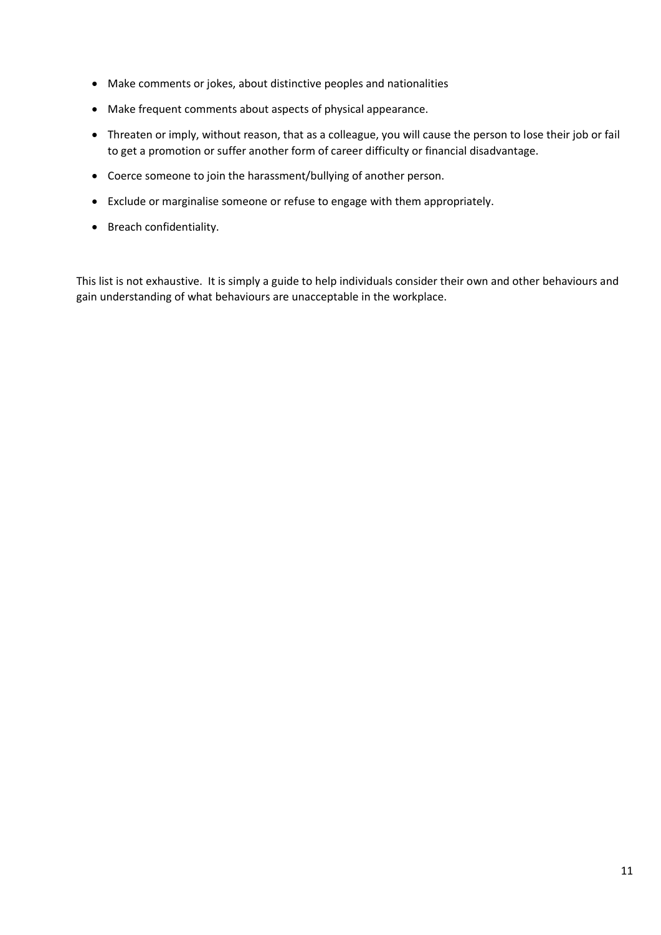- Make comments or jokes, about distinctive peoples and nationalities
- Make frequent comments about aspects of physical appearance.
- Threaten or imply, without reason, that as a colleague, you will cause the person to lose their job or fail to get a promotion or suffer another form of career difficulty or financial disadvantage.
- Coerce someone to join the harassment/bullying of another person.
- Exclude or marginalise someone or refuse to engage with them appropriately.
- Breach confidentiality.

This list is not exhaustive. It is simply a guide to help individuals consider their own and other behaviours and gain understanding of what behaviours are unacceptable in the workplace.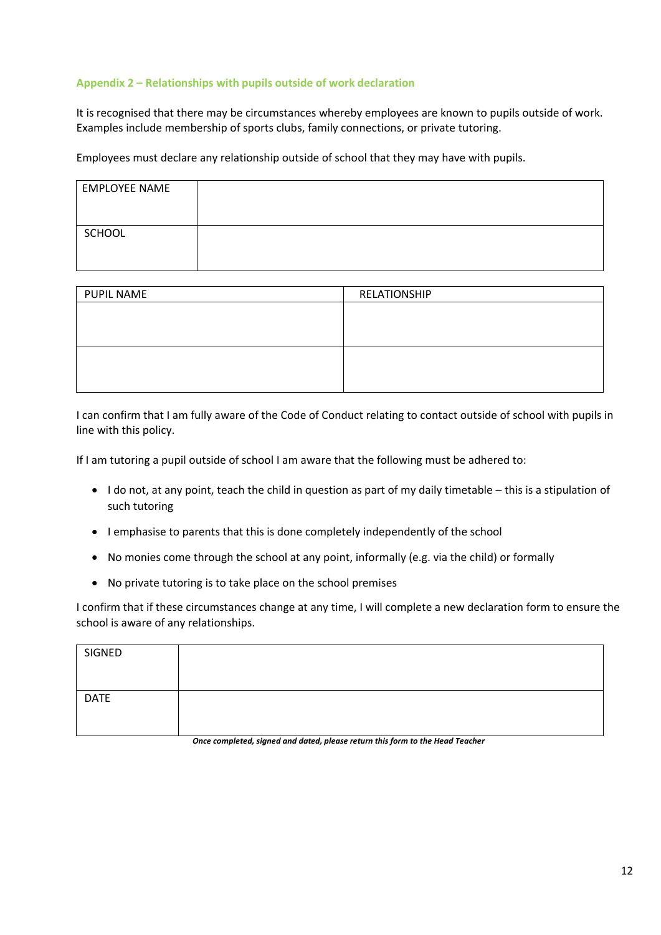### <span id="page-11-0"></span>**Appendix 2 – Relationships with pupils outside of work declaration**

It is recognised that there may be circumstances whereby employees are known to pupils outside of work. Examples include membership of sports clubs, family connections, or private tutoring.

Employees must declare any relationship outside of school that they may have with pupils.

| <b>EMPLOYEE NAME</b> |  |
|----------------------|--|
|                      |  |
| SCHOOL               |  |
|                      |  |

| <b>PUPIL NAME</b> | RELATIONSHIP |
|-------------------|--------------|
|                   |              |
|                   |              |
|                   |              |
|                   |              |
|                   |              |
|                   |              |

I can confirm that I am fully aware of the Code of Conduct relating to contact outside of school with pupils in line with this policy.

If I am tutoring a pupil outside of school I am aware that the following must be adhered to:

- I do not, at any point, teach the child in question as part of my daily timetable this is a stipulation of such tutoring
- I emphasise to parents that this is done completely independently of the school
- No monies come through the school at any point, informally (e.g. via the child) or formally
- No private tutoring is to take place on the school premises

I confirm that if these circumstances change at any time, I will complete a new declaration form to ensure the school is aware of any relationships.

| SIGNED      |  |
|-------------|--|
| <b>DATE</b> |  |

*Once completed, signed and dated, please return this form to the Head Teacher*